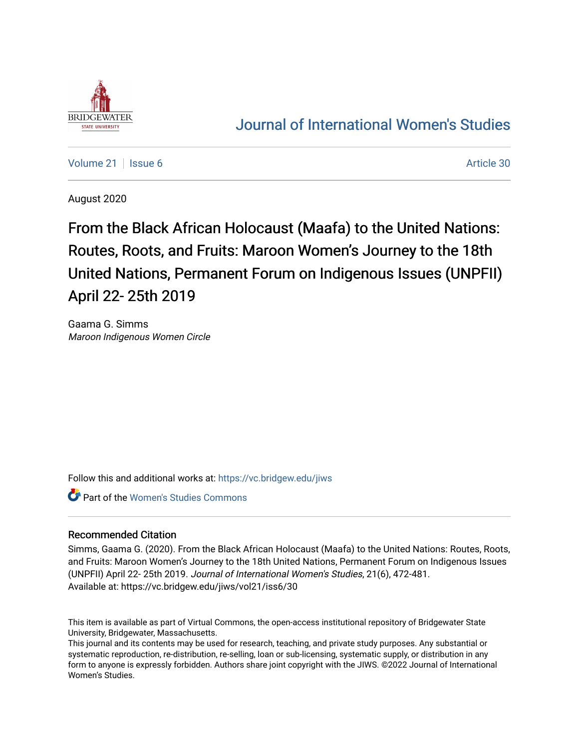

# [Journal of International Women's Studies](https://vc.bridgew.edu/jiws)

[Volume 21](https://vc.bridgew.edu/jiws/vol21) | [Issue 6](https://vc.bridgew.edu/jiws/vol21/iss6) Article 30

August 2020

From the Black African Holocaust (Maafa) to the United Nations: Routes, Roots, and Fruits: Maroon Women's Journey to the 18th United Nations, Permanent Forum on Indigenous Issues (UNPFII) April 22- 25th 2019

Gaama G. Simms Maroon Indigenous Women Circle

Follow this and additional works at: [https://vc.bridgew.edu/jiws](https://vc.bridgew.edu/jiws?utm_source=vc.bridgew.edu%2Fjiws%2Fvol21%2Fiss6%2F30&utm_medium=PDF&utm_campaign=PDFCoverPages)

**Part of the Women's Studies Commons** 

# Recommended Citation

Simms, Gaama G. (2020). From the Black African Holocaust (Maafa) to the United Nations: Routes, Roots, and Fruits: Maroon Women's Journey to the 18th United Nations, Permanent Forum on Indigenous Issues (UNPFII) April 22- 25th 2019. Journal of International Women's Studies, 21(6), 472-481. Available at: https://vc.bridgew.edu/jiws/vol21/iss6/30

This item is available as part of Virtual Commons, the open-access institutional repository of Bridgewater State University, Bridgewater, Massachusetts.

This journal and its contents may be used for research, teaching, and private study purposes. Any substantial or systematic reproduction, re-distribution, re-selling, loan or sub-licensing, systematic supply, or distribution in any form to anyone is expressly forbidden. Authors share joint copyright with the JIWS. ©2022 Journal of International Women's Studies.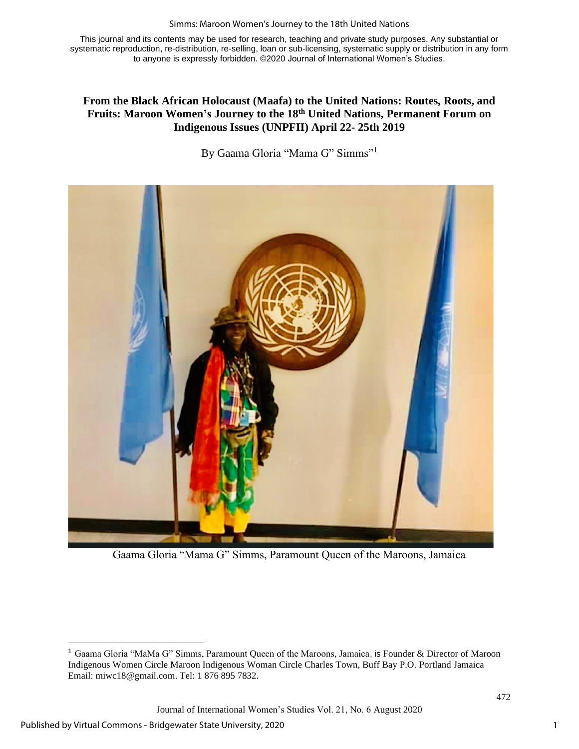#### Simms: Maroon Women's Journey to the 18th United Nations

This journal and its contents may be used for research, teaching and private study purposes. Any substantial or systematic reproduction, re-distribution, re-selling, loan or sub-licensing, systematic supply or distribution in any form to anyone is expressly forbidden. ©2020 Journal of International Women's Studies.

# **From the Black African Holocaust (Maafa) to the United Nations: Routes, Roots, and Fruits: Maroon Women's Journey to the 18th United Nations, Permanent Forum on Indigenous Issues (UNPFII) April 22- 25th 2019**

By Gaama Gloria "Mama G" Simms"<sup>1</sup>



Gaama Gloria "Mama G" Simms, Paramount Queen of the Maroons, Jamaica

Journal of International Women's Studies Vol. 21, No. 6 August 2020

<sup>1</sup> Gaama Gloria "MaMa G" Simms, Paramount Queen of the Maroons, Jamaica, is Founder & Director of Maroon Indigenous Women Circle Maroon Indigenous Woman Circle Charles Town, Buff Bay P.O. Portland Jamaica Email: [miwc18@gmail.com.](mailto:miwc18@gmail.com) Tel: 1 876 895 7832.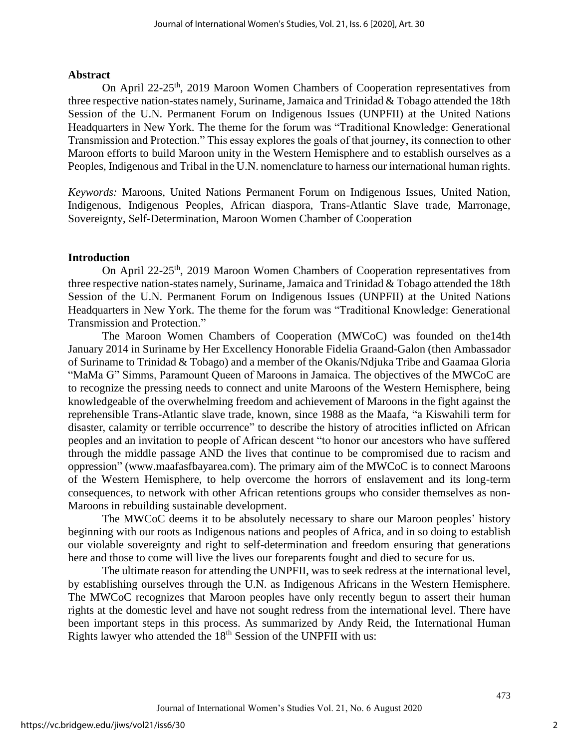## **Abstract**

On April 22-25<sup>th</sup>, 2019 Maroon Women Chambers of Cooperation representatives from three respective nation-states namely, Suriname, Jamaica and Trinidad & Tobago attended the 18th Session of the U.N. Permanent Forum on Indigenous Issues (UNPFII) at the United Nations Headquarters in New York. The theme for the forum was "Traditional Knowledge: Generational Transmission and Protection." This essay explores the goals of that journey, its connection to other Maroon efforts to build Maroon unity in the Western Hemisphere and to establish ourselves as a Peoples, Indigenous and Tribal in the U.N. nomenclature to harness our international human rights.

*Keywords:* Maroons, United Nations Permanent Forum on Indigenous Issues, United Nation, Indigenous, Indigenous Peoples, African diaspora, Trans-Atlantic Slave trade, Marronage, Sovereignty, Self-Determination, Maroon Women Chamber of Cooperation

# **Introduction**

On April 22-25<sup>th</sup>, 2019 Maroon Women Chambers of Cooperation representatives from three respective nation-states namely, Suriname, Jamaica and Trinidad & Tobago attended the 18th Session of the U.N. Permanent Forum on Indigenous Issues (UNPFII) at the United Nations Headquarters in New York. The theme for the forum was "Traditional Knowledge: Generational Transmission and Protection."

The Maroon Women Chambers of Cooperation (MWCoC) was founded on the14th January 2014 in Suriname by Her Excellency Honorable Fidelia Graand-Galon (then Ambassador of Suriname to Trinidad & Tobago) and a member of the Okanis/Ndjuka Tribe and Gaamaa Gloria "MaMa G" Simms, Paramount Queen of Maroons in Jamaica. The objectives of the MWCoC are to recognize the pressing needs to connect and unite Maroons of the Western Hemisphere, being knowledgeable of the overwhelming freedom and achievement of Maroons in the fight against the reprehensible Trans-Atlantic slave trade, known, since 1988 as the Maafa, "a Kiswahili term for disaster, calamity or terrible occurrence" to describe the history of atrocities inflicted on African peoples and an invitation to people of African descent "to honor our ancestors who have suffered through the middle passage AND the lives that continue to be compromised due to racism and oppression" (www.maafasfbayarea.com). The primary aim of the MWCoC is to connect Maroons of the Western Hemisphere, to help overcome the horrors of enslavement and its long-term consequences, to network with other African retentions groups who consider themselves as non-Maroons in rebuilding sustainable development.

The MWCoC deems it to be absolutely necessary to share our Maroon peoples' history beginning with our roots as Indigenous nations and peoples of Africa, and in so doing to establish our violable sovereignty and right to self-determination and freedom ensuring that generations here and those to come will live the lives our foreparents fought and died to secure for us.

The ultimate reason for attending the UNPFII, was to seek redress at the international level, by establishing ourselves through the U.N. as Indigenous Africans in the Western Hemisphere. The MWCoC recognizes that Maroon peoples have only recently begun to assert their human rights at the domestic level and have not sought redress from the international level. There have been important steps in this process. As summarized by Andy Reid, the International Human Rights lawyer who attended the 18<sup>th</sup> Session of the UNPFII with us:

2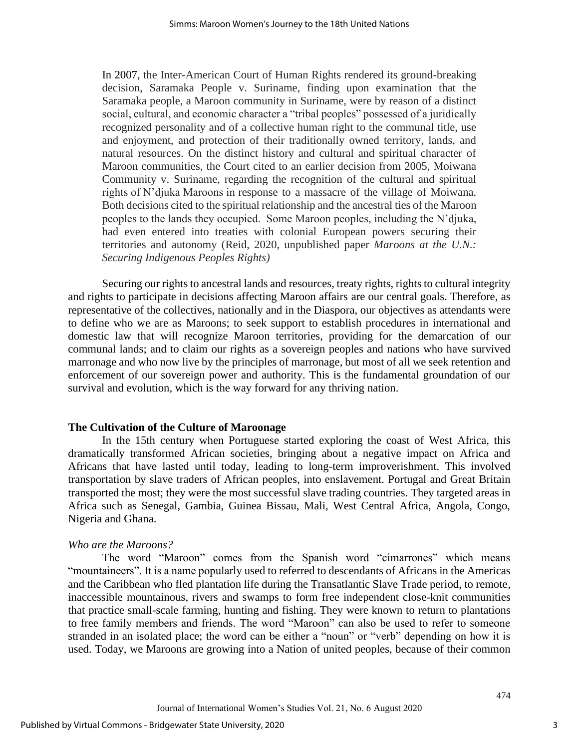In 2007, the Inter-American Court of Human Rights rendered its ground-breaking decision, Saramaka People v. Suriname, finding upon examination that the Saramaka people, a Maroon community in Suriname, were by reason of a distinct social, cultural, and economic character a "tribal peoples" possessed of a juridically recognized personality and of a collective human right to the communal title, use and enjoyment, and protection of their traditionally owned territory, lands, and natural resources. On the distinct history and cultural and spiritual character of Maroon communities, the Court cited to an earlier decision from 2005, Moiwana Community v. Suriname, regarding the recognition of the cultural and spiritual rights of N'djuka Maroons in response to a massacre of the village of Moiwana. Both decisions cited to the spiritual relationship and the ancestral ties of the Maroon peoples to the lands they occupied. Some Maroon peoples, including the N'djuka, had even entered into treaties with colonial European powers securing their territories and autonomy (Reid, 2020, unpublished paper *Maroons at the U.N.: Securing Indigenous Peoples Rights)*

Securing our rights to ancestral lands and resources, treaty rights, rights to cultural integrity and rights to participate in decisions affecting Maroon affairs are our central goals. Therefore, as representative of the collectives, nationally and in the Diaspora, our objectives as attendants were to define who we are as Maroons; to seek support to establish procedures in international and domestic law that will recognize Maroon territories, providing for the demarcation of our communal lands; and to claim our rights as a sovereign peoples and nations who have survived marronage and who now live by the principles of marronage, but most of all we seek retention and enforcement of our sovereign power and authority. This is the fundamental groundation of our survival and evolution, which is the way forward for any thriving nation.

### **The Cultivation of the Culture of Maroonage**

In the 15th century when Portuguese started exploring the coast of West Africa, this dramatically transformed African societies, bringing about a negative impact on Africa and Africans that have lasted until today, leading to long-term improverishment. This involved transportation by slave traders of African peoples, into enslavement. Portugal and Great Britain transported the most; they were the most successful slave trading countries. They targeted areas in Africa such as Senegal, Gambia, Guinea Bissau, Mali, West Central Africa, Angola, Congo, Nigeria and Ghana.

# *Who are the Maroons?*

The word "Maroon" comes from the Spanish word "cimarrones" which means "mountaineers". It is a name popularly used to referred to descendants of Africans in the Americas and the Caribbean who fled plantation life during the Transatlantic Slave Trade period, to remote, inaccessible mountainous, rivers and swamps to form free independent close-knit communities that practice small-scale farming, hunting and fishing. They were known to return to plantations to free family members and friends. The word "Maroon" can also be used to refer to someone stranded in an isolated place; the word can be either a "noun" or "verb" depending on how it is used. Today, we Maroons are growing into a Nation of united peoples, because of their common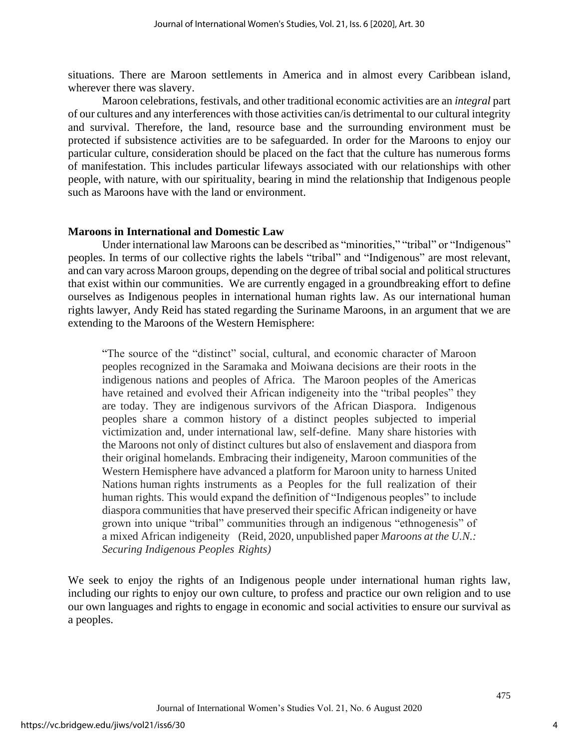situations. There are Maroon settlements in America and in almost every Caribbean island, wherever there was slavery.

Maroon celebrations, festivals, and other traditional economic activities are an *integral* part of our cultures and any interferences with those activities can/is detrimental to our cultural integrity and survival. Therefore, the land, resource base and the surrounding environment must be protected if subsistence activities are to be safeguarded. In order for the Maroons to enjoy our particular culture, consideration should be placed on the fact that the culture has numerous forms of manifestation. This includes particular lifeways associated with our relationships with other people, with nature, with our spirituality, bearing in mind the relationship that Indigenous people such as Maroons have with the land or environment.

# **Maroons in International and Domestic Law**

Under international law Maroons can be described as "minorities," "tribal" or "Indigenous" peoples. In terms of our collective rights the labels "tribal" and "Indigenous" are most relevant, and can vary across Maroon groups, depending on the degree of tribal social and political structures that exist within our communities. We are currently engaged in a groundbreaking effort to define ourselves as Indigenous peoples in international human rights law. As our international human rights lawyer, Andy Reid has stated regarding the Suriname Maroons, in an argument that we are extending to the Maroons of the Western Hemisphere:

"The source of the "distinct" social, cultural, and economic character of Maroon peoples recognized in the Saramaka and Moiwana decisions are their roots in the indigenous nations and peoples of Africa. The Maroon peoples of the Americas have retained and evolved their African indigeneity into the "tribal peoples" they are today. They are indigenous survivors of the African Diaspora. Indigenous peoples share a common history of a distinct peoples subjected to imperial victimization and, under international law, self-define. Many share histories with the Maroons not only of distinct cultures but also of enslavement and diaspora from their original homelands. Embracing their indigeneity, Maroon communities of the Western Hemisphere have advanced a platform for Maroon unity to harness United Nations human rights instruments as a Peoples for the full realization of their human rights. This would expand the definition of "Indigenous peoples" to include diaspora communities that have preserved their specific African indigeneity or have grown into unique "tribal" communities through an indigenous "ethnogenesis" of a mixed African indigeneity (Reid, 2020, unpublished paper *Maroons at the U.N.: Securing Indigenous Peoples Rights)*

We seek to enjoy the rights of an Indigenous people under international human rights law, including our rights to enjoy our own culture, to profess and practice our own religion and to use our own languages and rights to engage in economic and social activities to ensure our survival as a peoples.

4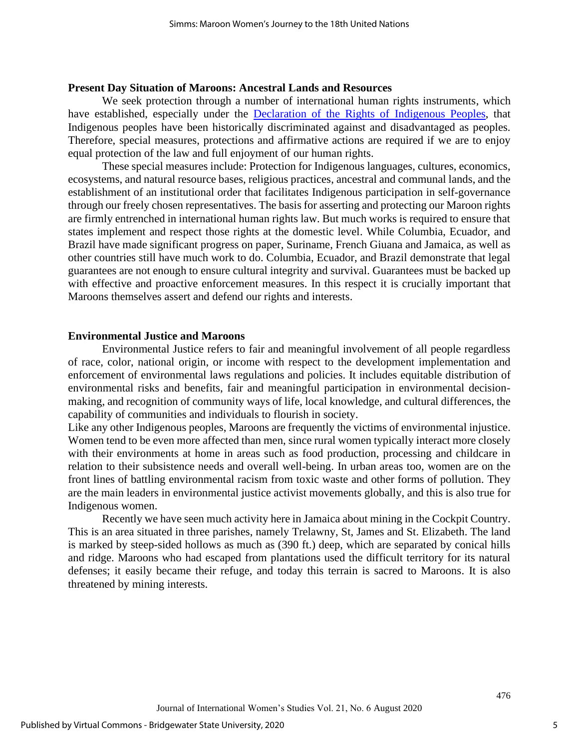#### **Present Day Situation of Maroons: Ancestral Lands and Resources**

We seek protection through a number of international human rights instruments, which have established, especially under the [Declaration of the Rights of](https://www.un.org/development/desa/indigenouspeoples/declaration-on-the-rights-of-indigenous-peoples.html) Indigenous Peoples, that Indigenous peoples have been historically discriminated against and disadvantaged as peoples. Therefore, special measures, protections and affirmative actions are required if we are to enjoy equal protection of the law and full enjoyment of our human rights.

These special measures include: Protection for Indigenous languages, cultures, economics, ecosystems, and natural resource bases, religious practices, ancestral and communal lands, and the establishment of an institutional order that facilitates Indigenous participation in self-governance through our freely chosen representatives. The basis for asserting and protecting our Maroon rights are firmly entrenched in international human rights law. But much works is required to ensure that states implement and respect those rights at the domestic level. While Columbia, Ecuador, and Brazil have made significant progress on paper, Suriname, French Giuana and Jamaica, as well as other countries still have much work to do. Columbia, Ecuador, and Brazil demonstrate that legal guarantees are not enough to ensure cultural integrity and survival. Guarantees must be backed up with effective and proactive enforcement measures. In this respect it is crucially important that Maroons themselves assert and defend our rights and interests.

#### **Environmental Justice and Maroons**

Environmental Justice refers to fair and meaningful involvement of all people regardless of race, color, national origin, or income with respect to the development implementation and enforcement of environmental laws regulations and policies. It includes equitable distribution of environmental risks and benefits, fair and meaningful participation in environmental decisionmaking, and recognition of community ways of life, local knowledge, and cultural differences, the capability of communities and individuals to flourish in society.

Like any other Indigenous peoples, Maroons are frequently the victims of environmental injustice. Women tend to be even more affected than men, since rural women typically interact more closely with their environments at home in areas such as food production, processing and childcare in relation to their subsistence needs and overall well-being. In urban areas too, women are on the front lines of battling environmental racism from toxic waste and other forms of pollution. They are the main leaders in environmental justice activist movements globally, and this is also true for Indigenous women.

Recently we have seen much activity here in Jamaica about mining in the Cockpit Country. This is an area situated in three parishes, namely Trelawny, St, James and St. Elizabeth. The land is marked by steep-sided hollows as much as (390 ft.) deep, which are separated by conical hills and ridge. Maroons who had escaped from plantations used the difficult territory for its natural defenses; it easily became their refuge, and today this terrain is sacred to Maroons. It is also threatened by mining interests.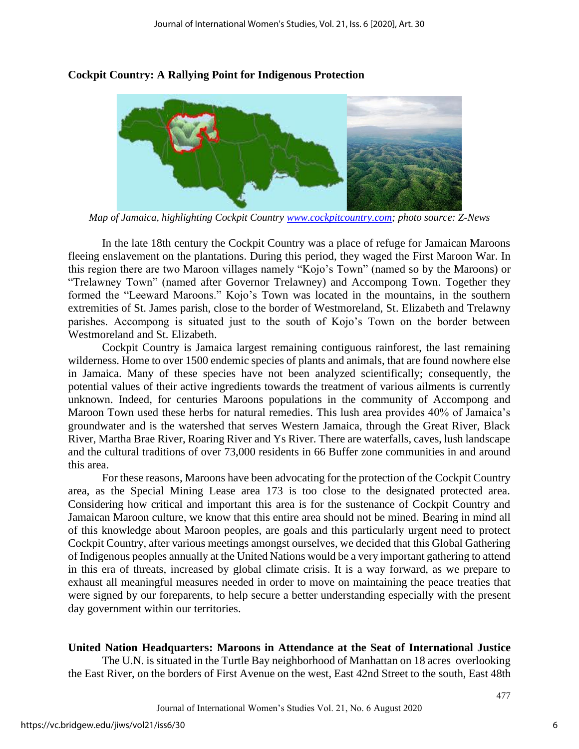

# **Cockpit Country: A Rallying Point for Indigenous Protection**

*Map of Jamaica, highlighting Cockpit Country [www.cockpitcountry.com;](http://www.cockpitcountry.com/) photo source: Z-News*

In the late 18th century the Cockpit Country was a place of refuge for Jamaican Maroons fleeing enslavement on the plantations. During this period, they waged the First Maroon War. In this region there are two Maroon villages namely "Kojo's Town" (named so by the Maroons) or "Trelawney Town" (named after Governor Trelawney) and Accompong Town. Together they formed the "Leeward Maroons." Kojo's Town was located in the mountains, in the southern extremities of St. James parish, close to the border of Westmoreland, St. Elizabeth and Trelawny parishes. Accompong is situated just to the south of Kojo's Town on the border between Westmoreland and St. Elizabeth.

Cockpit Country is Jamaica largest remaining contiguous rainforest, the last remaining wilderness. Home to over 1500 endemic species of plants and animals, that are found nowhere else in Jamaica. Many of these species have not been analyzed scientifically; consequently, the potential values of their active ingredients towards the treatment of various ailments is currently unknown. Indeed, for centuries Maroons populations in the community of Accompong and Maroon Town used these herbs for natural remedies. This lush area provides 40% of Jamaica's groundwater and is the watershed that serves Western Jamaica, through the Great River, Black River, Martha Brae River, Roaring River and Ys River. There are waterfalls, caves, lush landscape and the cultural traditions of over 73,000 residents in 66 Buffer zone communities in and around this area.

For these reasons, Maroons have been advocating for the protection of the Cockpit Country area, as the Special Mining Lease area 173 is too close to the designated protected area. Considering how critical and important this area is for the sustenance of Cockpit Country and Jamaican Maroon culture, we know that this entire area should not be mined. Bearing in mind all of this knowledge about Maroon peoples, are goals and this particularly urgent need to protect Cockpit Country, after various meetings amongst ourselves, we decided that this Global Gathering of Indigenous peoples annually at the United Nations would be a very important gathering to attend in this era of threats, increased by global climate crisis. It is a way forward, as we prepare to exhaust all meaningful measures needed in order to move on maintaining the peace treaties that were signed by our foreparents, to help secure a better understanding especially with the present day government within our territories.

# **United Nation Headquarters: Maroons in Attendance at the Seat of International Justice**

The U.N. is situated in the Turtle Bay neighborhood of Manhattan on 18 acres overlooking the East River, on the borders of First Avenue on the west, East 42nd Street to the south, East 48th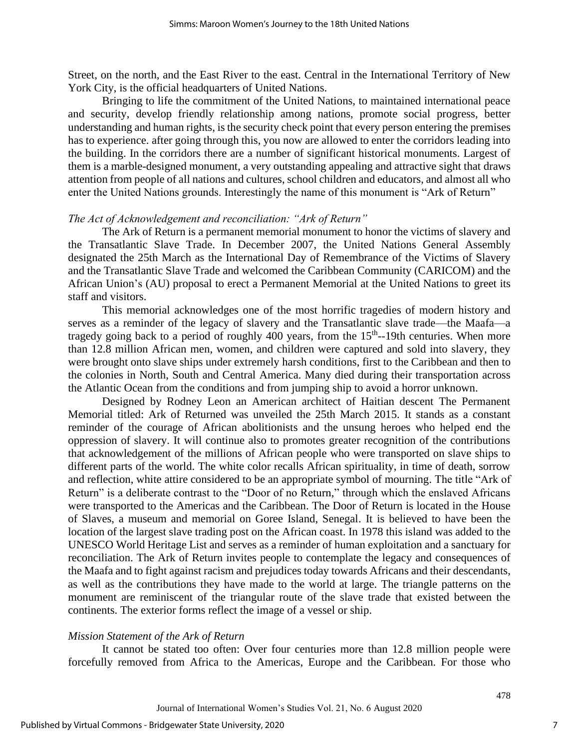Street, on the north, and the East River to the east. Central in the International Territory of New York City, is the official headquarters of United Nations.

Bringing to life the commitment of the United Nations, to maintained international peace and security, develop friendly relationship among nations, promote social progress, better understanding and human rights, is the security check point that every person entering the premises has to experience. after going through this, you now are allowed to enter the corridors leading into the building. In the corridors there are a number of significant historical monuments. Largest of them is a marble-designed monument, a very outstanding appealing and attractive sight that draws attention from people of all nations and cultures, school children and educators, and almost all who enter the United Nations grounds. Interestingly the name of this monument is "Ark of Return"

#### *The Act of Acknowledgement and reconciliation: "Ark of Return"*

The Ark of Return is a permanent memorial monument to honor the victims of slavery and the Transatlantic Slave Trade. In December 2007, the United Nations General Assembly designated the 25th March as the International Day of Remembrance of the Victims of Slavery and the Transatlantic Slave Trade and welcomed the Caribbean Community (CARICOM) and the African Union's (AU) proposal to erect a Permanent Memorial at the United Nations to greet its staff and visitors.

This memorial acknowledges one of the most horrific tragedies of modern history and serves as a reminder of the legacy of slavery and the Transatlantic slave trade—the Maafa—a tragedy going back to a period of roughly  $400$  years, from the  $15<sup>th</sup>$ -19th centuries. When more than 12.8 million African men, women, and children were captured and sold into slavery, they were brought onto slave ships under extremely harsh conditions, first to the Caribbean and then to the colonies in North, South and Central America. Many died during their transportation across the Atlantic Ocean from the conditions and from jumping ship to avoid a horror unknown.

Designed by Rodney Leon an American architect of Haitian descent The Permanent Memorial titled: Ark of Returned was unveiled the 25th March 2015. It stands as a constant reminder of the courage of African abolitionists and the unsung heroes who helped end the oppression of slavery. It will continue also to promotes greater recognition of the contributions that acknowledgement of the millions of African people who were transported on slave ships to different parts of the world. The white color recalls African spirituality, in time of death, sorrow and reflection, white attire considered to be an appropriate symbol of mourning. The title "Ark of Return" is a deliberate contrast to the "Door of no Return," through which the enslaved Africans were transported to the Americas and the Caribbean. The Door of Return is located in the House of Slaves, a museum and memorial on Goree Island, Senegal. It is believed to have been the location of the largest slave trading post on the African coast. In 1978 this island was added to the UNESCO World Heritage List and serves as a reminder of human exploitation and a sanctuary for reconciliation. The Ark of Return invites people to contemplate the legacy and consequences of the Maafa and to fight against racism and prejudices today towards Africans and their descendants, as well as the contributions they have made to the world at large. The triangle patterns on the monument are reminiscent of the triangular route of the slave trade that existed between the continents. The exterior forms reflect the image of a vessel or ship.

#### *Mission Statement of the Ark of Return*

It cannot be stated too often: Over four centuries more than 12.8 million people were forcefully removed from Africa to the Americas, Europe and the Caribbean. For those who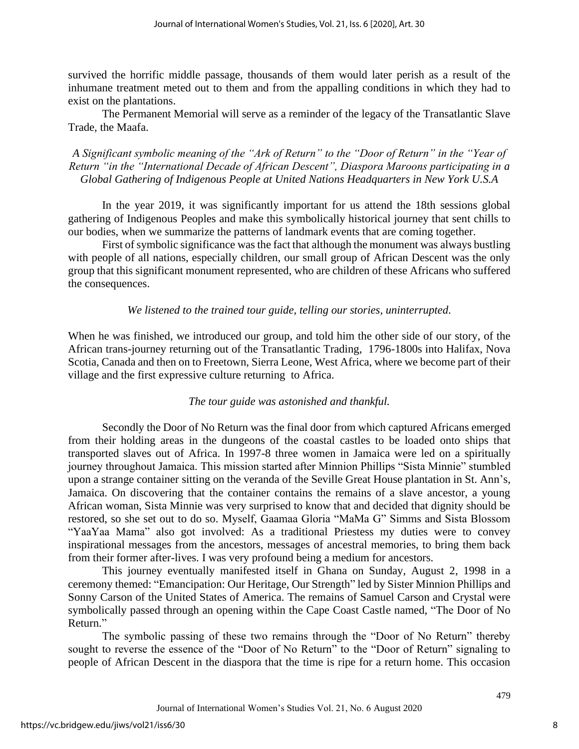survived the horrific middle passage, thousands of them would later perish as a result of the inhumane treatment meted out to them and from the appalling conditions in which they had to exist on the plantations.

The Permanent Memorial will serve as a reminder of the legacy of the Transatlantic Slave Trade, the Maafa.

*A Significant symbolic meaning of the "Ark of Return" to the "Door of Return" in the "Year of Return "in the "International Decade of African Descent", Diaspora Maroons participating in a Global Gathering of Indigenous People at United Nations Headquarters in New York U.S.A*

In the year 2019, it was significantly important for us attend the 18th sessions global gathering of Indigenous Peoples and make this symbolically historical journey that sent chills to our bodies, when we summarize the patterns of landmark events that are coming together.

First of symbolic significance was the fact that although the monument was always bustling with people of all nations, especially children, our small group of African Descent was the only group that this significant monument represented, who are children of these Africans who suffered the consequences.

## *We listened to the trained tour guide, telling our stories, uninterrupted*.

When he was finished, we introduced our group, and told him the other side of our story, of the African trans-journey returning out of the Transatlantic Trading, 1796-1800s into Halifax, Nova Scotia, Canada and then on to Freetown, Sierra Leone, West Africa, where we become part of their village and the first expressive culture returning to Africa.

# *The tour guide was astonished and thankful.*

Secondly the Door of No Return was the final door from which captured Africans emerged from their holding areas in the dungeons of the coastal castles to be loaded onto ships that transported slaves out of Africa. In 1997-8 three women in Jamaica were led on a spiritually journey throughout Jamaica. This mission started after Minnion Phillips "Sista Minnie" stumbled upon a strange container sitting on the veranda of the Seville Great House plantation in St. Ann's, Jamaica. On discovering that the container contains the remains of a slave ancestor, a young African woman, Sista Minnie was very surprised to know that and decided that dignity should be restored, so she set out to do so. Myself, Gaamaa Gloria "MaMa G" Simms and Sista Blossom "YaaYaa Mama" also got involved: As a traditional Priestess my duties were to convey inspirational messages from the ancestors, messages of ancestral memories, to bring them back from their former after-lives. I was very profound being a medium for ancestors.

This journey eventually manifested itself in Ghana on Sunday, August 2, 1998 in a ceremony themed: "Emancipation: Our Heritage, Our Strength" led by Sister Minnion Phillips and Sonny Carson of the United States of America. The remains of Samuel Carson and Crystal were symbolically passed through an opening within the Cape Coast Castle named, "The Door of No Return."

The symbolic passing of these two remains through the "Door of No Return" thereby sought to reverse the essence of the "Door of No Return" to the "Door of Return" signaling to people of African Descent in the diaspora that the time is ripe for a return home. This occasion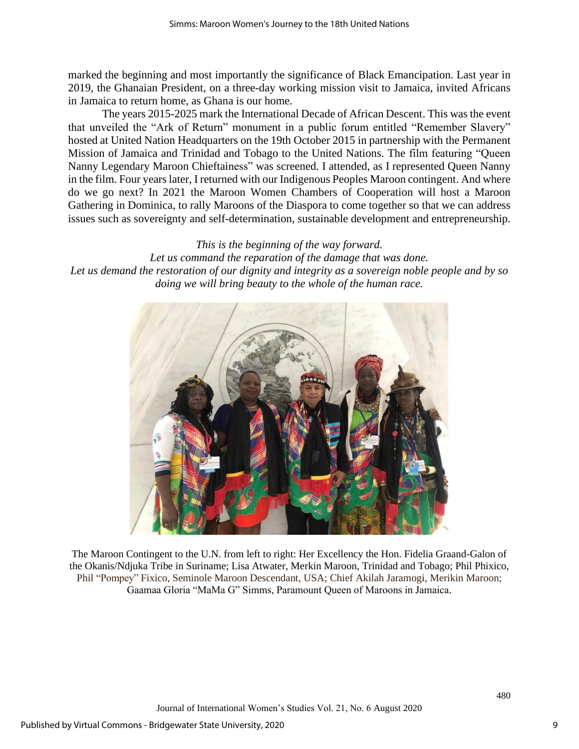marked the beginning and most importantly the significance of Black Emancipation. Last year in 2019, the Ghanaian President, on a three-day working mission visit to Jamaica, invited Africans in Jamaica to return home, as Ghana is our home.

The years 2015-2025 mark the International Decade of African Descent. This was the event that unveiled the "Ark of Return" monument in a public forum entitled "Remember Slavery" hosted at United Nation Headquarters on the 19th October 2015 in partnership with the Permanent Mission of Jamaica and Trinidad and Tobago to the United Nations. The film featuring "Queen Nanny Legendary Maroon Chieftainess" was screened. I attended, as I represented Queen Nanny in the film. Four years later, I returned with our Indigenous Peoples Maroon contingent. And where do we go next? In 2021 the Maroon Women Chambers of Cooperation will host a Maroon Gathering in Dominica, to rally Maroons of the Diaspora to come together so that we can address issues such as sovereignty and self-determination, sustainable development and entrepreneurship.

# *This is the beginning of the way forward.*

*Let us command the reparation of the damage that was done. Let us demand the restoration of our dignity and integrity as a sovereign noble people and by so doing we will bring beauty to the whole of the human race.*



The Maroon Contingent to the U.N. from left to right: Her Excellency the Hon. Fidelia Graand-Galon of the Okanis/Ndjuka Tribe in Suriname; Lisa Atwater, Merkin Maroon, Trinidad and Tobago; Phil Phixico, Phil "Pompey" Fixico, Seminole Maroon Descendant, USA; Chief Akilah Jaramogi, Merikin Maroon; Gaamaa Gloria "MaMa G" Simms, Paramount Queen of Maroons in Jamaica.